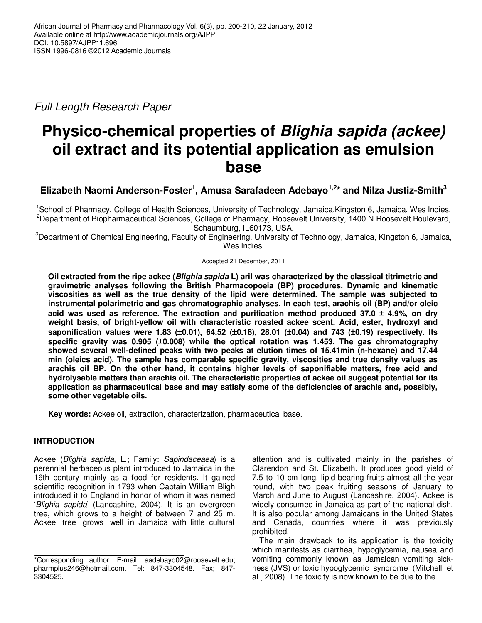Full Length Research Paper

# **Physico-chemical properties of Blighia sapida (ackee) oil extract and its potential application as emulsion base**

# **Elizabeth Naomi Anderson-Foster<sup>1</sup> , Amusa Sarafadeen Adebayo1,2\* and Nilza Justiz-Smith<sup>3</sup>**

<sup>1</sup>School of Pharmacy, College of Health Sciences, University of Technology, Jamaica,Kingston 6, Jamaica, Wes Indies. <sup>2</sup>Department of Biopharmaceutical Sciences, College of Pharmacy, Roosevelt University, 1400 N Roosevelt Boulevard, Schaumburg, IL60173, USA.

<sup>3</sup>Department of Chemical Engineering, Faculty of Engineering, University of Technology, Jamaica, Kingston 6, Jamaica, Wes Indies.

## Accepted 21 December, 2011

**Oil extracted from the ripe ackee (Blighia sapida L) aril was characterized by the classical titrimetric and gravimetric analyses following the British Pharmacopoeia (BP) procedures. Dynamic and kinematic viscosities as well as the true density of the lipid were determined. The sample was subjected to instrumental polarimetric and gas chromatographic analyses. In each test, arachis oil (BP) and/or oleic acid was used as reference. The extraction and purification method produced 37.0** ± **4.9%, on dry weight basis, of bright-yellow oil with characteristic roasted ackee scent. Acid, ester, hydroxyl and saponification values were 1.83 (**±**0.01), 64.52 (**±**0.18), 28.01 (**±**0.04) and 743 (**±**0.19) respectively. Its specific gravity was 0.905 (**±**0.008) while the optical rotation was 1.453. The gas chromatography showed several well-defined peaks with two peaks at elution times of 15.41min (n-hexane) and 17.44 min (oleics acid). The sample has comparable specific gravity, viscosities and true density values as arachis oil BP. On the other hand, it contains higher levels of saponifiable matters, free acid and hydrolysable matters than arachis oil. The characteristic properties of ackee oil suggest potential for its application as pharmaceutical base and may satisfy some of the deficiencies of arachis and, possibly, some other vegetable oils.** 

**Key words:** Ackee oil, extraction, characterization, pharmaceutical base.

# **INTRODUCTION**

Ackee (Blighia sapida, L.; Family: Sapindaceaea) is a perennial herbaceous plant introduced to Jamaica in the 16th century mainly as a food for residents. It gained scientific recognition in 1793 when Captain William Bligh introduced it to England in honor of whom it was named 'Blighia sapida' (Lancashire, 2004). It is an evergreen tree, which grows to a height of between 7 and 25 m. Ackee tree grows well in Jamaica with little cultural attention and is cultivated mainly in the parishes of Clarendon and St. Elizabeth. It produces good yield of 7.5 to 10 cm long, lipid-bearing fruits almost all the year round, with two peak fruiting seasons of January to March and June to August (Lancashire, 2004). Ackee is widely consumed in Jamaica as part of the national dish. It is also popular among Jamaicans in the United States and Canada, countries where it was previously prohibited.

The main drawback to its application is the toxicity which manifests as diarrhea, hypoglycemia, nausea and vomiting commonly known as Jamaican vomiting sickness (JVS) or toxic hypoglycemic syndrome (Mitchell et al., 2008). The toxicity is now known to be due to the

<sup>\*</sup>Corresponding author. E-mail: aadebayo02@roosevelt.edu; pharmplus246@hotmail.com. Tel: 847-3304548. Fax; 847- 3304525.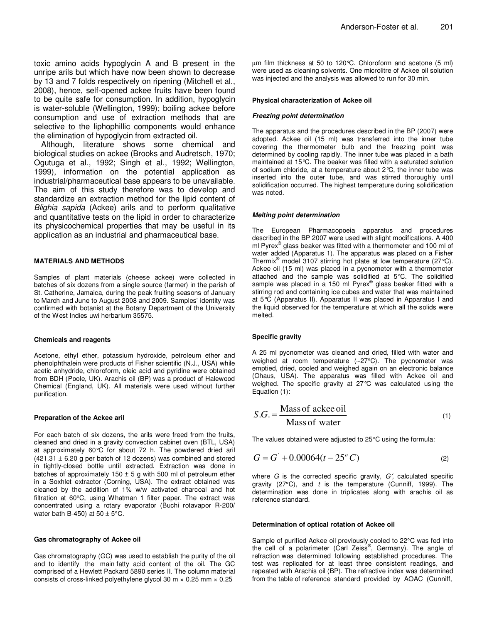toxic amino acids hypoglycin A and B present in the unripe arils but which have now been shown to decrease by 13 and 7 folds respectively on ripening (Mitchell et al., 2008), hence, self-opened ackee fruits have been found to be quite safe for consumption. In addition, hypoglycin is water-soluble (Wellington, 1999); boiling ackee before consumption and use of extraction methods that are selective to the liphophillic components would enhance the elimination of hypoglycin from extracted oil.

Although, literature shows some chemical and biological studies on ackee (Brooks and Audretsch, 1970; Ogutuga et al., 1992; Singh et al., 1992; Wellington, 1999), information on the potential application as industrial/pharmaceutical base appears to be unavailable. The aim of this study therefore was to develop and standardize an extraction method for the lipid content of Blighia sapida (Ackee) arils and to perform qualitative and quantitative tests on the lipid in order to characterize its physicochemical properties that may be useful in its application as an industrial and pharmaceutical base.

## **MATERIALS AND METHODS**

Samples of plant materials (cheese ackee) were collected in batches of six dozens from a single source (farmer) in the parish of St. Catherine, Jamaica, during the peak fruiting seasons of January to March and June to August 2008 and 2009. Samples' identity was confirmed with botanist at the Botany Department of the University of the West Indies uwi herbarium 35575.

## **Chemicals and reagents**

Acetone, ethyl ether, potassium hydroxide, petroleum ether and phenolphthalein were products of Fisher scientific (N.J., USA) while acetic anhydride, chloroform, oleic acid and pyridine were obtained from BDH (Poole, UK). Arachis oil (BP) was a product of Halewood Chemical (England, UK). All materials were used without further purification.

## **Preparation of the Ackee aril**

For each batch of six dozens, the arils were freed from the fruits, cleaned and dried in a gravity convection cabinet oven (BTL, USA) at approximately 60°C for about 72 h. The powdered dried aril  $(421.31 \pm 6.20$  g per batch of 12 dozens) was combined and stored in tightly-closed bottle until extracted. Extraction was done in batches of approximately  $150 \pm 5$  g with 500 ml of petroleum ether in a Soxhlet extractor (Corning, USA). The extract obtained was cleaned by the addition of 1% w/w activated charcoal and hot filtration at 60°C, using Whatman 1 filter paper. The extract was concentrated using a rotary evaporator (Buchi rotavapor R-200/ water bath B-450) at  $50 \pm 5^{\circ}$ C.

#### **Gas chromatography of Ackee oil**

Gas chromatography (GC) was used to establish the purity of the oil and to identify the main fatty acid content of the oil. The GC comprised of a Hewlett Packard 5890 series II. The column material consists of cross-linked polyethylene glycol 30 m × 0.25 mm × 0.25

µm film thickness at 50 to 120°C. Chloroform and acetone (5 ml) were used as cleaning solvents. One microlitre of Ackee oil solution was injected and the analysis was allowed to run for 30 min.

#### **Physical characterization of Ackee oil**

#### **Freezing point determination**

The apparatus and the procedures described in the BP (2007) were adopted. Ackee oil (15 ml) was transferred into the inner tube covering the thermometer bulb and the freezing point was determined by cooling rapidly. The inner tube was placed in a bath maintained at 15°C. The beaker was filled with a saturated solution of sodium chloride, at a temperature about 2°C, the inner tube was inserted into the outer tube, and was stirred thoroughly until solidification occurred. The highest temperature during solidification was noted.

#### **Melting point determination**

The European Pharmacopoeia apparatus and procedures described in the BP 2007 were used with slight modifications. A 400 ml Pyrex<sup>®</sup> glass beaker was fitted with a thermometer and 100 ml of water added (Apparatus 1). The apparatus was placed on a Fisher Thermix<sup>®</sup> model 3107 stirring hot plate at low temperature (27 °C). Ackee oil (15 ml) was placed in a pycnometer with a thermometer attached and the sample was solidified at 5°C. The solidified sample was placed in a 150 ml Pyrex® glass beaker fitted with a stirring rod and containing ice cubes and water that was maintained at 5°C (Apparatus II). Apparatus II was placed in Apparatus I and the liquid observed for the temperature at which all the solids were melted.

## **Specific gravity**

A 25 ml pycnometer was cleaned and dried, filled with water and weighed at room temperature (∼27°C). The pycnometer was emptied, dried, cooled and weighed again on an electronic balance (Ohaus, USA). The apparatus was filled with Ackee oil and weighed. The specific gravity at 27°C was calculated using the Equation (1):

$$
S.G. = \frac{\text{Mass of acke oil}}{\text{Mass of water}}
$$
 (1)

The values obtained were adjusted to 25°C using the formula:

$$
G = G^{\dagger} + 0.00064(t - 25^{\circ} C) \tag{2}
$$

where  $G$  is the corrected specific gravity,  $G'$ , calculated specific gravity (27 $^{\circ}$ C), and t is the temperature (Cunniff, 1999). The determination was done in triplicates along with arachis oil as reference standard.

#### **Determination of optical rotation of Ackee oil**

Sample of purified Ackee oil previously cooled to 22°C was fed into the cell of a polarimeter (Carl Zeiss®, Germany). The angle of refraction was determined following established procedures. The test was replicated for at least three consistent readings, and repeated with Arachis oil (BP). The refractive index was determined from the table of reference standard provided by AOAC (Cunniff,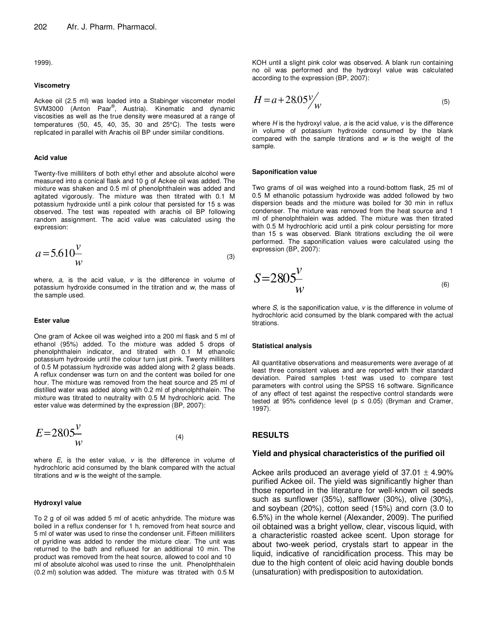1999).

## **Viscometry**

Ackee oil (2.5 ml) was loaded into a Stabinger viscometer model SVM3000 (Anton Paar<sup>®</sup>, Austria). Kinematic and dynamic viscosities as well as the true density were measured at a range of temperatures (50, 45, 40, 35, 30 and 25°C). The tests were replicated in parallel with Arachis oil BP under similar conditions.

#### **Acid value**

Twenty-five milliliters of both ethyl ether and absolute alcohol were measured into a conical flask and 10 g of Ackee oil was added. The mixture was shaken and 0.5 ml of phenolphthalein was added and agitated vigorously. The mixture was then titrated with 0.1 M potassium hydroxide until a pink colour that persisted for 15 s was observed. The test was repeated with arachis oil BP following random assignment. The acid value was calculated using the expression:

$$
a = 5.610 \frac{v}{w}
$$
 (3)

where,  $a$ , is the acid value,  $v$  is the difference in volume of potassium hydroxide consumed in the titration and w, the mass of the sample used.

#### **Ester value**

One gram of Ackee oil was weighed into a 200 ml flask and 5 ml of ethanol (95%) added. To the mixture was added 5 drops of phenolphthalein indicator, and titrated with 0.1 M ethanolic potassium hydroxide until the colour turn just pink. Twenty milliliters of 0.5 M potassium hydroxide was added along with 2 glass beads. A reflux condenser was turn on and the content was boiled for one hour. The mixture was removed from the heat source and 25 ml of distilled water was added along with 0.2 ml of phenolphthalein. The mixture was titrated to neutrality with 0.5 M hydrochloric acid. The ester value was determined by the expression (BP, 2007):

$$
E=2805\frac{v}{w}
$$
 (4)

where  $E$ , is the ester value,  $v$  is the difference in volume of hydrochloric acid consumed by the blank compared with the actual titrations and w is the weight of the sample.

#### **Hydroxyl value**

To 2 g of oil was added 5 ml of acetic anhydride. The mixture was boiled in a reflux condenser for 1 h, removed from heat source and 5 ml of water was used to rinse the condenser unit. Fifteen milliliters of pyridine was added to render the mixture clear. The unit was returned to the bath and refluxed for an additional 10 min. The product was removed from the heat source, allowed to cool and 10 ml of absolute alcohol was used to rinse the unit. Phenolphthalein (0.2 ml) solution was added. The mixture was titrated with 0.5 M

KOH until a slight pink color was observed. A blank run containing no oil was performed and the hydroxyl value was calculated according to the expression (BP, 2007):

$$
H = a + 28.05\frac{\text{V}}{\text{W}}\tag{5}
$$

where  $H$  is the hydroxyl value,  $a$  is the acid value,  $v$  is the difference in volume of potassium hydroxide consumed by the blank compared with the sample titrations and  $w$  is the weight of the sample.

#### **Saponification value**

Two grams of oil was weighed into a round-bottom flask, 25 ml of 0.5 M ethanolic potassium hydroxide was added followed by two dispersion beads and the mixture was boiled for 30 min in reflux condenser. The mixture was removed from the heat source and 1 ml of phenolphthalein was added. The mixture was then titrated with 0.5 M hydrochloric acid until a pink colour persisting for more than 15 s was observed. Blank titrations excluding the oil were performed. The saponification values were calculated using the expression (BP, 2007):

$$
S=2805\frac{V}{W}
$$

where  $S$ , is the saponification value,  $v$  is the difference in volume of hydrochloric acid consumed by the blank compared with the actual titrations.

#### **Statistical analysis**

All quantitative observations and measurements were average of at least three consistent values and are reported with their standard deviation. Paired samples t-test was used to compare test parameters with control using the SPSS 16 software. Significance of any effect of test against the respective control standards were tested at 95% confidence level ( $p \le 0.05$ ) (Bryman and Cramer, 1997).

## **RESULTS**

## **Yield and physical characteristics of the purified oil**

Ackee arils produced an average yield of  $37.01 \pm 4.90\%$ purified Ackee oil. The yield was significantly higher than those reported in the literature for well-known oil seeds such as sunflower (35%), safflower (30%), olive (30%), and soybean (20%), cotton seed (15%) and corn (3.0 to 6.5%) in the whole kernel (Alexander, 2009). The purified oil obtained was a bright yellow, clear, viscous liquid, with a characteristic roasted ackee scent. Upon storage for about two-week period, crystals start to appear in the liquid, indicative of rancidification process. This may be due to the high content of oleic acid having double bonds (unsaturation) with predisposition to autoxidation.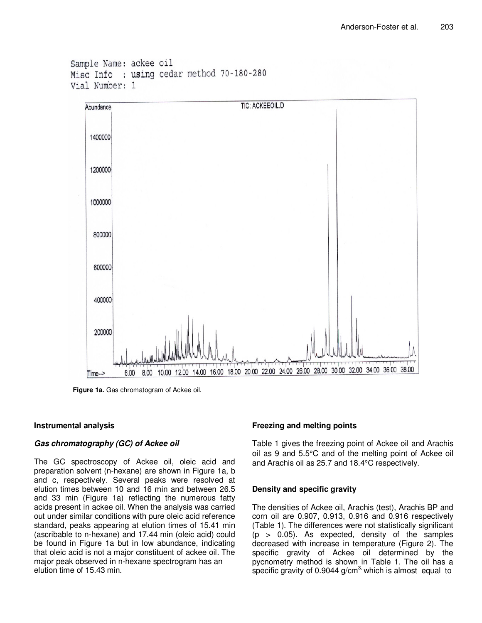```
Sample Name: ackee oil
Misc Info : using cedar method 70-180-280
Vial Number: 1
```


**Figure 1a.** Gas chromatogram of Ackee oil.

# **Instrumental analysis**

# **Gas chromatography (GC) of Ackee oil**

The GC spectroscopy of Ackee oil, oleic acid and preparation solvent (n-hexane) are shown in Figure 1a, b and c, respectively. Several peaks were resolved at elution times between 10 and 16 min and between 26.5 and 33 min (Figure 1a) reflecting the numerous fatty acids present in ackee oil. When the analysis was carried out under similar conditions with pure oleic acid reference standard, peaks appearing at elution times of 15.41 min (ascribable to n-hexane) and 17.44 min (oleic acid) could be found in Figure 1a but in low abundance, indicating that oleic acid is not a major constituent of ackee oil. The major peak observed in n-hexane spectrogram has an elution time of 15.43 min.

# **Freezing and melting points**

Table 1 gives the freezing point of Ackee oil and Arachis oil as 9 and 5.5°C and of the melting point of Ackee oil and Arachis oil as 25.7 and 18.4°C respectively.

# **Density and specific gravity**

The densities of Ackee oil, Arachis (test), Arachis BP and corn oil are 0.907, 0.913, 0.916 and 0.916 respectively (Table 1). The differences were not statistically significant  $(p > 0.05)$ . As expected, density of the samples decreased with increase in temperature (Figure 2). The specific gravity of Ackee oil determined by the pycnometry method is shown in Table 1. The oil has a specific gravity of 0.9044  $g/cm<sup>3</sup>$ , which is almost equal to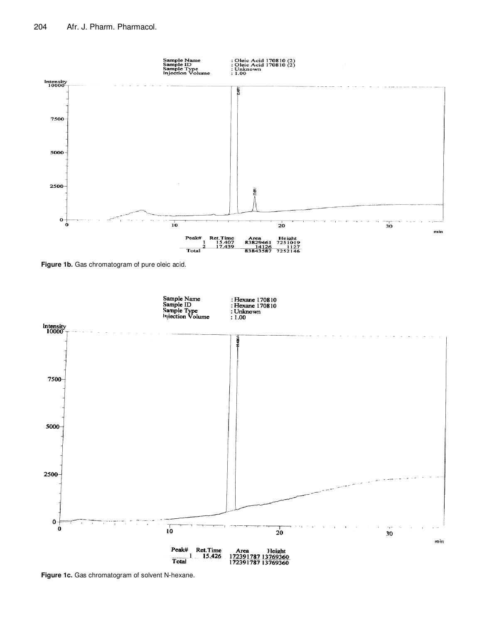

**Figure 1b.** Gas chromatogram of pure oleic acid.



**Figure 1c.** Gas chromatogram of solvent N-hexane.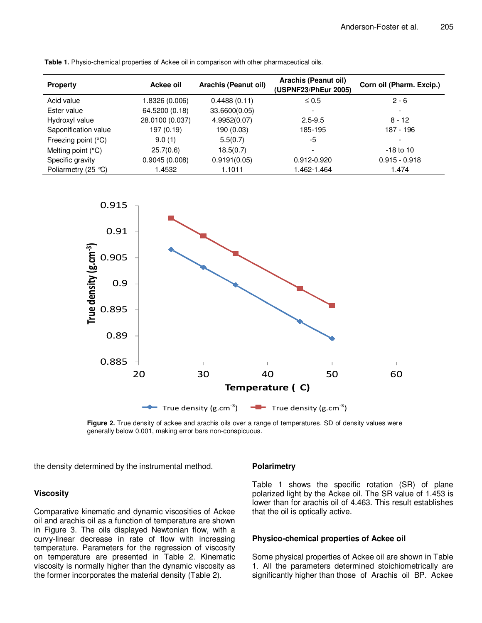| <b>Property</b>      | Ackee oil       | Arachis (Peanut oil) | Arachis (Peanut oil)<br>(USPNF23/PhEur 2005) | Corn oil (Pharm. Excip.) |
|----------------------|-----------------|----------------------|----------------------------------------------|--------------------------|
| Acid value           | 1.8326 (0.006)  | 0.4488(0.11)         | $\leq 0.5$                                   | $2 - 6$                  |
| Ester value          | 64.5200 (0.18)  | 33.6600(0.05)        | -                                            | $\overline{\phantom{a}}$ |
| Hydroxyl value       | 28.0100 (0.037) | 4.9952(0.07)         | $2.5 - 9.5$                                  | $8 - 12$                 |
| Saponification value | 197 (0.19)      | 190 (0.03)           | 185-195                                      | 187 - 196                |
| Freezing point (°C)  | 9.0(1)          | 5.5(0.7)             | -5                                           | ۰                        |
| Melting point (°C)   | 25.7(0.6)       | 18.5(0.7)            |                                              | $-18$ to $10$            |
| Specific gravity     | 0.9045(0.008)   | 0.9191(0.05)         | 0.912-0.920                                  | $0.915 - 0.918$          |
| Poliarmetry (25 ℃)   | 1.4532          | 1.1011               | 1.462-1.464                                  | 1.474                    |

**Table 1.** Physio-chemical properties of Ackee oil in comparison with other pharmaceutical oils.



**Figure 2.** True density of ackee and arachis oils over a range of temperatures. SD of density values were generally below 0.001, making error bars non-conspicuous.

the density determined by the instrumental method.

## **Viscosity**

Comparative kinematic and dynamic viscosities of Ackee oil and arachis oil as a function of temperature are shown in Figure 3. The oils displayed Newtonian flow, with a curvy-linear decrease in rate of flow with increasing temperature. Parameters for the regression of viscosity on temperature are presented in Table 2. Kinematic viscosity is normally higher than the dynamic viscosity as the former incorporates the material density (Table 2).

## **Polarimetry**

Table 1 shows the specific rotation (SR) of plane polarized light by the Ackee oil. The SR value of 1.453 is lower than for arachis oil of 4.463. This result establishes that the oil is optically active.

# **Physico-chemical properties of Ackee oil**

Some physical properties of Ackee oil are shown in Table 1. All the parameters determined stoichiometrically are significantly higher than those of Arachis oil BP. Ackee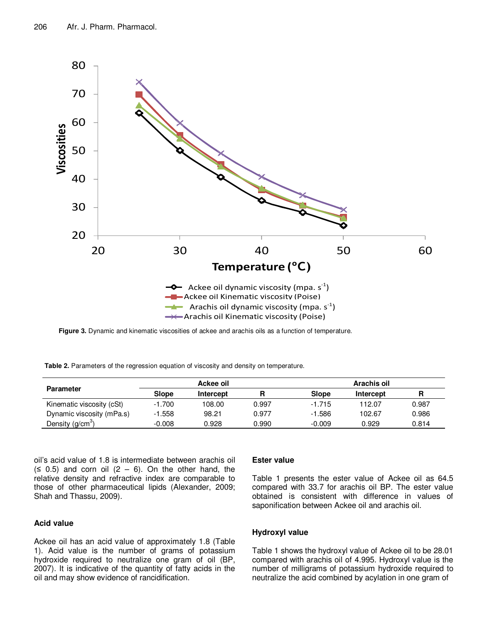

**Figure 3.** Dynamic and kinematic viscosities of ackee and arachis oils as a function of temperature.

**Table 2.** Parameters of the regression equation of viscosity and density on temperature.

| <b>Parameter</b>          | Ackee oil |           |       | Arachis oil  |           |       |
|---------------------------|-----------|-----------|-------|--------------|-----------|-------|
|                           | Slope     | Intercept | R     | <b>Slope</b> | Intercept | R     |
| Kinematic viscosity (cSt) | $-1.700$  | 108.00    | 0.997 | $-1.715$     | 112.07    | 0.987 |
| Dynamic viscosity (mPa.s) | $-1.558$  | 98.21     | 0.977 | $-1.586$     | 102.67    | 0.986 |
| Density $(g/cm3)$         | $-0.008$  | 0.928     | 0.990 | $-0.009$     | 0.929     | 0.814 |

oil's acid value of 1.8 is intermediate between arachis oil  $(5 0.5)$  and corn oil  $(2 - 6)$ . On the other hand, the relative density and refractive index are comparable to those of other pharmaceutical lipids (Alexander, 2009; Shah and Thassu, 2009).

# **Acid value**

Ackee oil has an acid value of approximately 1.8 (Table 1). Acid value is the number of grams of potassium hydroxide required to neutralize one gram of oil (BP, 2007). It is indicative of the quantity of fatty acids in the oil and may show evidence of rancidification.

## **Ester value**

Table 1 presents the ester value of Ackee oil as 64.5 compared with 33.7 for arachis oil BP. The ester value obtained is consistent with difference in values of saponification between Ackee oil and arachis oil.

## **Hydroxyl value**

Table 1 shows the hydroxyl value of Ackee oil to be 28.01 compared with arachis oil of 4.995. Hydroxyl value is the number of milligrams of potassium hydroxide required to neutralize the acid combined by acylation in one gram of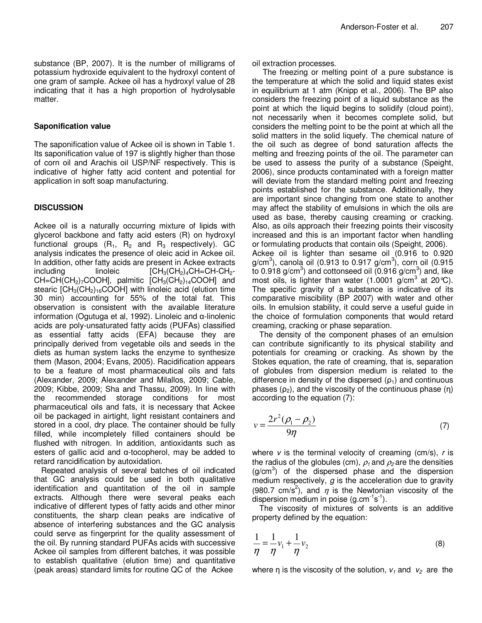substance (BP, 2007). It is the number of milligrams of potassium hydroxide equivalent to the hydroxyl content of one gram of sample. Ackee oil has a hydroxyl value of 28 indicating that it has a high proportion of hydrolysable matter.

## **Saponification value**

The saponification value of Ackee oil is shown in Table 1. Its saponification value of 197 is slightly higher than those of corn oil and Arachis oil USP/NF respectively. This is indicative of higher fatty acid content and potential for application in soft soap manufacturing.

# **DISCUSSION**

Ackee oil is a naturally occurring mixture of lipids with glycerol backbone and fatty acid esters (R) on hydroxyl functional groups  $(R_1, R_2, and R_3$  respectively). GC analysis indicates the presence of oleic acid in Ackee oil. In addition, other fatty acids are present in Ackee extracts including linoleic  $\text{[CH}_3(\text{CH}_2)_4\text{CH}=\text{CH}\text{-}\text{CH}_2$ - $CH=CH(CH<sub>2</sub>)<sub>7</sub>COOH$ ], palmitic  $[CH<sub>3</sub>(CH<sub>2</sub>)<sub>14</sub>COOH]$  and stearic  $[CH<sub>3</sub>(CH<sub>2</sub>)<sub>16</sub>COOH]$  with linoleic acid (elution time 30 min) accounting for 55% of the total fat. This observation is consistent with the available literature information (Ogutuga et al, 1992). Linoleic and α-linolenic acids are poly-unsaturated fatty acids (PUFAs) classified as essential fatty acids (EFA) because they are principally derived from vegetable oils and seeds in the diets as human system lacks the enzyme to synthesize them (Mason, 2004; Evans, 2005). Racidification appears to be a feature of most pharmaceutical oils and fats (Alexander, 2009; Alexander and Milallos, 2009; Cable, 2009; Kibbe, 2009; Sha and Thassu, 2009). In line with the recommended storage conditions for most pharmaceutical oils and fats, it is necessary that Ackee oil be packaged in airtight, light resistant containers and stored in a cool, dry place. The container should be fully filled, while incompletely filled containers should be flushed with nitrogen. In addition, antioxidants such as esters of gallic acid and α-tocopherol, may be added to retard rancidification by autoxidation.

Repeated analysis of several batches of oil indicated that GC analysis could be used in both qualitative identification and quantitation of the oil in sample extracts. Although there were several peaks each indicative of different types of fatty acids and other minor constituents, the sharp clean peaks are indicative of absence of interfering substances and the GC analysis could serve as fingerprint for the quality assessment of the oil. By running standard PUFAs acids with successive Ackee oil samples from different batches, it was possible to establish qualitative (elution time) and quantitative (peak areas) standard limits for routine QC of the Ackee

## oil extraction processes.

The freezing or melting point of a pure substance is the temperature at which the solid and liquid states exist in equilibrium at 1 atm (Knipp et al., 2006). The BP also considers the freezing point of a liquid substance as the point at which the liquid begins to solidify (cloud point), not necessarily when it becomes complete solid, but considers the melting point to be the point at which all the solid matters in the solid liquefy. The chemical nature of the oil such as degree of bond saturation affects the melting and freezing points of the oil. The parameter can be used to assess the purity of a substance (Speight, 2006), since products contaminated with a foreign matter will deviate from the standard melting point and freezing points established for the substance. Additionally, they are important since changing from one state to another may affect the stability of emulsions in which the oils are used as base, thereby causing creaming or cracking. Also, as oils approach their freezing points their viscosity increased and this is an important factor when handling or formulating products that contain oils (Speight, 2006).

Ackee oil is lighter than sesame oil (0.916 to 0.920 g/cm<sup>3</sup>), canola oil (0.913 to 0.917 g/cm<sup>3</sup>), corn oil (0.915 to 0.918 g/cm<sup>3</sup>) and cottonseed oil  $(0.916 \text{ g/cm}^3)$  and, like most oils, is lighter than water (1.0001 g/cm<sup>3</sup> at 20°C). The specific gravity of a substance is indicative of its comparative miscibility (BP 2007) with water and other oils. In emulsion stability, it could serve a useful guide in the choice of formulation components that would retard creaming, cracking or phase separation.

The density of the component phases of an emulsion can contribute significantly to its physical stability and potentials for creaming or cracking. As shown by the Stokes equation, the rate of creaming, that is, separation of globules from dispersion medium is related to the difference in density of the dispersed  $(p_1)$  and continuous phases  $(\rho_2)$ , and the viscosity of the continuous phase  $(\eta)$ according to the equation (7):

$$
v = \frac{2r^2(\rho_1 - \rho_2)}{9\eta}
$$
 (7)

where  $v$  is the terminal velocity of creaming (cm/s),  $r$  is the radius of the globules (cm),  $\rho_1$  and  $\rho_2$  are the densities  $(g/cm<sup>3</sup>)$  of the dispersed phase and the dispersion medium respectively,  $g$  is the acceleration due to gravity (980.7 cm/s<sup>2</sup>), and  $\eta$  is the Newtonian viscosity of the dispersion medium in poise  $(g.cm^{-1}s^{-1})$ .

The viscosity of mixtures of solvents is an additive property defined by the equation:

$$
\frac{1}{\eta} = \frac{1}{\eta} v_1 + \frac{1}{\eta} v_2 \tag{8}
$$

where  $\eta$  is the viscosity of the solution,  $v_1$  and  $v_2$  are the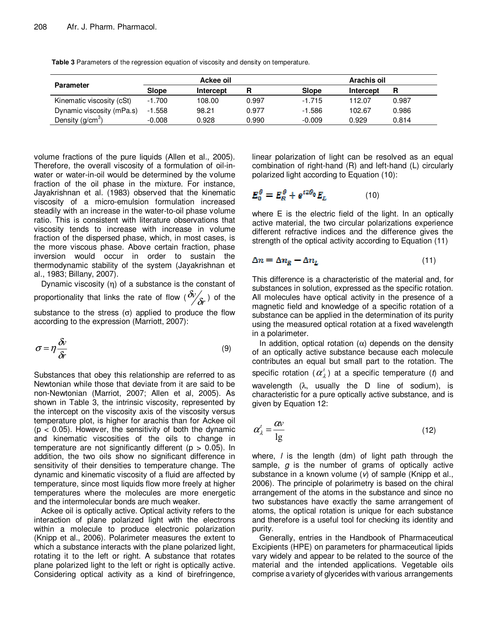| <b>Parameter</b>          | Ackee oil |           |       | Arachis oil |           |       |  |
|---------------------------|-----------|-----------|-------|-------------|-----------|-------|--|
|                           | Slope     | Intercept | R     | Slope       | Intercept | R     |  |
| Kinematic viscosity (cSt) | $-1.700$  | 108.00    | 0.997 | $-1.715$    | 112.07    | 0.987 |  |
| Dynamic viscosity (mPa.s) | $-1.558$  | 98.21     | 0.977 | $-1.586$    | 102.67    | 0.986 |  |
| Density $(g/cm3)$         | $-0.008$  | 0.928     | 0.990 | $-0.009$    | 0.929     | 0.814 |  |

**Table 3** Parameters of the regression equation of viscosity and density on temperature.

volume fractions of the pure liquids (Allen et al., 2005). Therefore, the overall viscosity of a formulation of oil-inwater or water-in-oil would be determined by the volume fraction of the oil phase in the mixture. For instance, Jayakrishnan et al. (1983) observed that the kinematic viscosity of a micro-emulsion formulation increased steadily with an increase in the water-to-oil phase volume ratio. This is consistent with literature observations that viscosity tends to increase with increase in volume fraction of the dispersed phase, which, in most cases, is the more viscous phase. Above certain fraction, phase inversion would occur in order to sustain the thermodynamic stability of the system (Jayakrishnan et al., 1983; Billany, 2007).

Dynamic viscosity (η) of a substance is the constant of proportionality that links the rate of flow ( $\partial\%_r$ *v*  $\frac{\delta v'}{\delta r}$ ) of the substance to the stress  $(σ)$  applied to produce the flow according to the expression (Marriott, 2007):

$$
\sigma = \eta \frac{\delta v}{\delta r} \tag{9}
$$

Substances that obey this relationship are referred to as Newtonian while those that deviate from it are said to be non-Newtonian (Marriot, 2007; Allen et al, 2005). As shown in Table 3, the intrinsic viscosity, represented by the intercept on the viscosity axis of the viscosity versus temperature plot, is higher for arachis than for Ackee oil  $(p < 0.05)$ . However, the sensitivity of both the dynamic and kinematic viscosities of the oils to change in temperature are not significantly different ( $p > 0.05$ ). In addition, the two oils show no significant difference in sensitivity of their densities to temperature change. The dynamic and kinematic viscosity of a fluid are affected by temperature, since most liquids flow more freely at higher temperatures where the molecules are more energetic and the intermolecular bonds are much weaker.

Ackee oil is optically active. Optical activity refers to the interaction of plane polarized light with the electrons within a molecule to produce electronic polarization (Knipp et al., 2006). Polarimeter measures the extent to which a substance interacts with the plane polarized light, rotating it to the left or right. A substance that rotates plane polarized light to the left or right is optically active. Considering optical activity as a kind of birefringence,

linear polarization of light can be resolved as an equal combination of right-hand (R) and left-hand (L) circularly polarized light according to Equation (10):

$$
E_0^{\theta} = E_R^{\theta} + e^{i2\theta_0} E_L \tag{10}
$$

where E is the electric field of the light. In an optically active material, the two circular polarizations experience different refractive indices and the difference gives the strength of the optical activity according to Equation (11)

$$
\Delta n = \Delta n_R - \Delta n_L \tag{11}
$$

This difference is a characteristic of the material and, for substances in solution, expressed as the specific rotation. All molecules have optical activity in the presence of a magnetic field and knowledge of a specific rotation of a substance can be applied in the determination of its purity using the measured optical rotation at a fixed wavelength in a polarimeter.

In addition, optical rotation  $(\alpha)$  depends on the density of an optically active substance because each molecule contributes an equal but small part to the rotation. The specific rotation  $(\alpha_{\lambda}^{t})$  at a specific temperature (t) and wavelength  $(\lambda, \text{ usually the } D \text{ line of } \text{ sodium}), \text{ is}$ characteristic for a pure optically active substance, and is given by Equation 12:

$$
\alpha_{\lambda}^{\prime} = \frac{\alpha v}{\lg} \tag{12}
$$

where,  $\ell$  is the length (dm) of light path through the sample,  $g$  is the number of grams of optically active substance in a known volume  $(v)$  of sample (Knipp et al., 2006). The principle of polarimetry is based on the chiral arrangement of the atoms in the substance and since no two substances have exactly the same arrangement of atoms, the optical rotation is unique for each substance and therefore is a useful tool for checking its identity and purity.

Generally, entries in the Handbook of Pharmaceutical Excipients (HPE) on parameters for pharmaceutical lipids vary widely and appear to be related to the source of the material and the intended applications. Vegetable oils comprise a variety of glycerides with various arrangements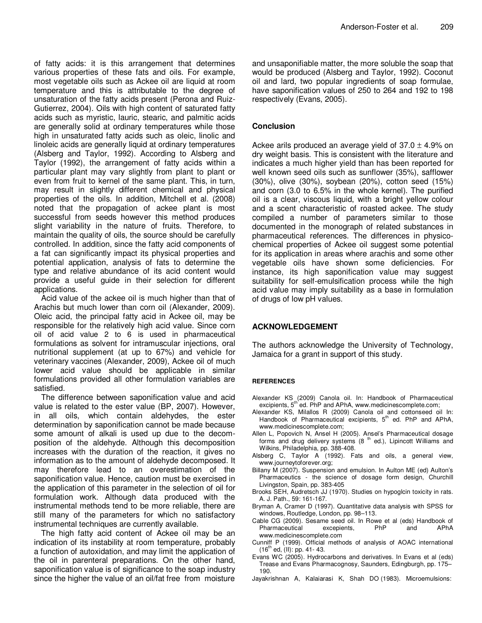of fatty acids: it is this arrangement that determines various properties of these fats and oils. For example, most vegetable oils such as Ackee oil are liquid at room temperature and this is attributable to the degree of unsaturation of the fatty acids present (Perona and Ruiz-Gutierrez, 2004). Oils with high content of saturated fatty acids such as myristic, lauric, stearic, and palmitic acids are generally solid at ordinary temperatures while those high in unsaturated fatty acids such as oleic, linolic and linoleic acids are generally liquid at ordinary temperatures (Alsberg and Taylor, 1992). According to Alsberg and Taylor (1992), the arrangement of fatty acids within a particular plant may vary slightly from plant to plant or even from fruit to kernel of the same plant. This, in turn, may result in slightly different chemical and physical properties of the oils. In addition, Mitchell et al. (2008) noted that the propagation of ackee plant is most successful from seeds however this method produces slight variability in the nature of fruits. Therefore, to maintain the quality of oils, the source should be carefully controlled. In addition, since the fatty acid components of a fat can significantly impact its physical properties and potential application, analysis of fats to determine the type and relative abundance of its acid content would provide a useful guide in their selection for different applications.

Acid value of the ackee oil is much higher than that of Arachis but much lower than corn oil (Alexander, 2009). Oleic acid, the principal fatty acid in Ackee oil, may be responsible for the relatively high acid value. Since corn oil of acid value 2 to 6 is used in pharmaceutical formulations as solvent for intramuscular injections, oral nutritional supplement (at up to 67%) and vehicle for veterinary vaccines (Alexander, 2009), Ackee oil of much lower acid value should be applicable in similar formulations provided all other formulation variables are satisfied.

The difference between saponification value and acid value is related to the ester value (BP, 2007). However, in all oils, which contain aldehydes, the ester determination by saponification cannot be made because some amount of alkali is used up due to the decomposition of the aldehyde. Although this decomposition increases with the duration of the reaction, it gives no information as to the amount of aldehyde decomposed. It may therefore lead to an overestimation of the saponification value. Hence, caution must be exercised in the application of this parameter in the selection of oil for formulation work. Although data produced with the instrumental methods tend to be more reliable, there are still many of the parameters for which no satisfactory instrumental techniques are currently available.

The high fatty acid content of Ackee oil may be an indication of its instability at room temperature, probably a function of autoxidation, and may limit the application of the oil in parenteral preparations. On the other hand, saponification value is of significance to the soap industry since the higher the value of an oil/fat free from moisture and unsaponifiable matter, the more soluble the soap that would be produced (Alsberg and Taylor, 1992). Coconut oil and lard, two popular ingredients of soap formulae, have saponification values of 250 to 264 and 192 to 198 respectively (Evans, 2005).

# **Conclusion**

Ackee arils produced an average yield of  $37.0 \pm 4.9\%$  on dry weight basis. This is consistent with the literature and indicates a much higher yield than has been reported for well known seed oils such as sunflower (35%), safflower (30%), olive (30%), soybean (20%), cotton seed (15%) and corn (3.0 to 6.5% in the whole kernel). The purified oil is a clear, viscous liquid, with a bright yellow colour and a scent characteristic of roasted ackee. The study compiled a number of parameters similar to those documented in the monograph of related substances in pharmaceutical references. The differences in physicochemical properties of Ackee oil suggest some potential for its application in areas where arachis and some other vegetable oils have shown some deficiencies. For instance, its high saponification value may suggest suitability for self-emulsification process while the high acid value may imply suitability as a base in formulation of drugs of low pH values.

# **ACKNOWLEDGEMENT**

The authors acknowledge the University of Technology, Jamaica for a grant in support of this study.

## **REFERENCES**

- Alexander KS (2009) Canola oil. In: Handbook of Pharmaceutical excipients,  $5<sup>th</sup>$  ed. PhP and APhA, www.medicinescomplete.com;
- Alexander KS, Milallos R (2009) Canola oil and cottonseed oil In: Handbook of Pharmaceutical excipients,  $5<sup>th</sup>$  ed. PhP and APhA, www.medicinescomplete.com;
- Allen L, Popovich N, Ansel H (2005). Ansel's Pharmaceutical dosage forms and drug delivery systems  $(8<sup>th</sup>$  ed.), Lipincott Williams and Wilkins, Philadelphia, pp. 388-408.
- Alsberg C, Taylor A (1992). Fats and oils, a general view, www.journeytoforever.org;
- Billany M (2007). Suspension and emulsion. In Aulton ME (ed) Aulton's Pharmaceutics - the science of dosage form design, Churchill Livingston, Spain, pp. 383-405
- Brooks SEH, Audretsch JJ (1970). Studies on hypoglcin toxicity in rats. A. J. Path., 59: 161-167.
- Bryman A, Cramer D (1997). Quantitative data analysis with SPSS for windows, Routledge, London, pp. 98–113.
- Cable CG (2009). Sesame seed oil. In Rowe et al (eds) Handbook of Pharmaceutical excepients, PhP and APhA www.medicinescomplete.com
- Cunniff P (1999). Official methods of analysis of AOAC international  $(16^{th}$  ed, (II): pp. 41- 43.
- Evans WC (2005). Hydrocarbons and derivatives. In Evans et al (eds) Trease and Evans Pharmacognosy, Saunders, Edingburgh, pp. 175– 190.
- Jayakrishnan A, Kalaiarasi K, Shah DO (1983). Microemulsions: